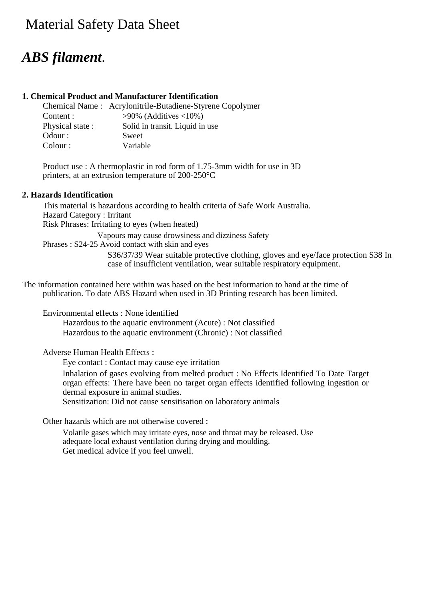# **Material Safety Data Sheet**

# *ABS filament*.

# **1. Chemical Product and Manufacturer Identification**

|                 | Chemical Name: Acrylonitrile-Butadiene-Styrene Copolymer |
|-----------------|----------------------------------------------------------|
| Content :       | $>90\%$ (Additives <10%)                                 |
| Physical state: | Solid in transit. Liquid in use                          |
| Odour:          | Sweet                                                    |
| Colour :        | Variable                                                 |

Product use : A thermoplastic in rod form of 1.75-3mm width for use in 3D printers, at an extrusion temperature of 200-250°C

## **2. Hazards Identification**

This material is hazardous according to health criteria of Safe Work Australia. Hazard Category : Irritant Risk Phrases: Irritating to eyes (when heated) Vapours may cause drowsiness and dizziness Safety

Phrases : S24-25 Avoid contact with skin and eyes

S36/37/39 Wear suitable protective clothing, gloves and eye/face protection S38 In case of insufficient ventilation, wear suitable respiratory equipment.

The information contained here within was based on the best information to hand at the time of publication. To date ABS Hazard when used in 3D Printing research has been limited.

Environmental effects : None identified

Hazardous to the aquatic environment (Acute) : Not classified Hazardous to the aquatic environment (Chronic) : Not classified

Adverse Human Health Effects :

Eye contact : Contact may cause eye irritation

Inhalation of gases evolving from melted product : No Effects Identified To Date Target organ effects: There have been no target organ effects identified following ingestion or dermal exposure in animal studies.

Sensitization: Did not cause sensitisation on laboratory animals

Other hazards which are not otherwise covered :

Volatile gases which may irritate eyes, nose and throat may be released. Use adequate local exhaust ventilation during drying and moulding. Get medical advice if you feel unwell.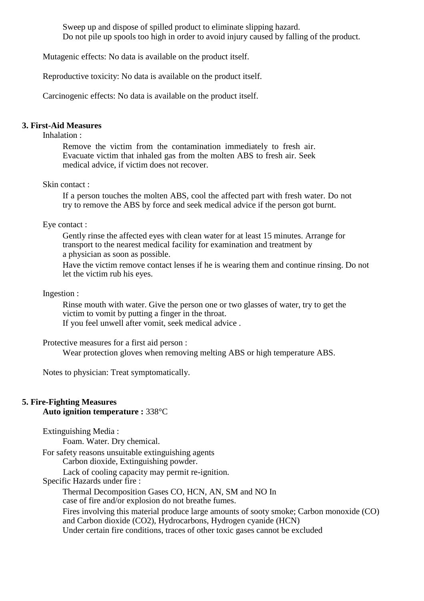Sweep up and dispose of spilled product to eliminate slipping hazard. Do not pile up spools too high in order to avoid injury caused by falling of the product.

Mutagenic effects: No data is available on the product itself.

Reproductive toxicity: No data is available on the product itself.

Carcinogenic effects: No data is available on the product itself.

#### **3. First-Aid Measures**

Inhalation :

Remove the victim from the contamination immediately to fresh air. Evacuate victim that inhaled gas from the molten ABS to fresh air. Seek medical advice, if victim does not recover.

#### Skin contact :

If a person touches the molten ABS, cool the affected part with fresh water. Do not try to remove the ABS by force and seek medical advice if the person got burnt.

#### Eye contact :

Gently rinse the affected eyes with clean water for at least 15 minutes. Arrange for transport to the nearest medical facility for examination and treatment by a physician as soon as possible.

Have the victim remove contact lenses if he is wearing them and continue rinsing. Do not let the victim rub his eyes.

## Ingestion :

Rinse mouth with water. Give the person one or two glasses of water, try to get the victim to vomit by putting a finger in the throat.

If you feel unwell after vomit, seek medical advice .

#### Protective measures for a first aid person :

Wear protection gloves when removing melting ABS or high temperature ABS.

Notes to physician: Treat symptomatically.

# **5. Fire-Fighting Measures**

## **Auto ignition temperature :** 338°C

Extinguishing Media :

Foam. Water. Dry chemical.

For safety reasons unsuitable extinguishing agents

Carbon dioxide, Extinguishing powder.

Lack of cooling capacity may permit re-ignition.

Specific Hazards under fire :

Thermal Decomposition Gases CO, HCN, AN, SM and NO In

case of fire and/or explosion do not breathe fumes.

Fires involving this material produce large amounts of sooty smoke; Carbon monoxide (CO) and Carbon dioxide (CO2), Hydrocarbons, Hydrogen cyanide (HCN) Under certain fire conditions, traces of other toxic gases cannot be excluded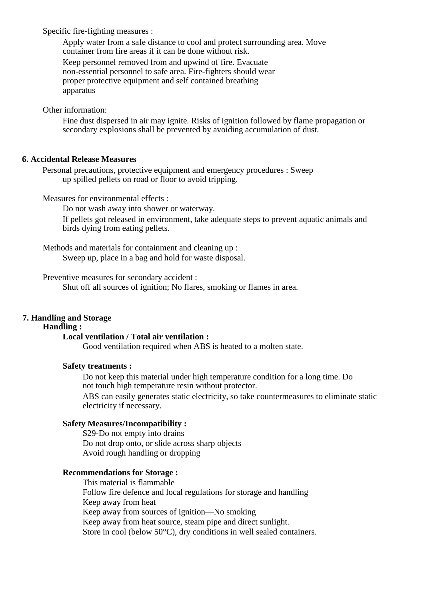Specific fire-fighting measures :

Apply water from a safe distance to cool and protect surrounding area. Move container from fire areas if it can be done without risk.

Keep personnel removed from and upwind of fire. Evacuate non-essential personnel to safe area. Fire-fighters should wear proper protective equipment and self contained breathing apparatus

Other information:

Fine dust dispersed in air may ignite. Risks of ignition followed by flame propagation or secondary explosions shall be prevented by avoiding accumulation of dust.

## **6. Accidental Release Measures**

Personal precautions, protective equipment and emergency procedures : Sweep up spilled pellets on road or floor to avoid tripping.

Measures for environmental effects :

Do not wash away into shower or waterway.

If pellets got released in environment, take adequate steps to prevent aquatic animals and birds dying from eating pellets.

Methods and materials for containment and cleaning up : Sweep up, place in a bag and hold for waste disposal.

Preventive measures for secondary accident :

Shut off all sources of ignition; No flares, smoking or flames in area.

## **7. Handling and Storage**

#### **Handling :**

## **Local ventilation / Total air ventilation :**

Good ventilation required when ABS is heated to a molten state.

#### **Safety treatments :**

Do not keep this material under high temperature condition for a long time. Do not touch high temperature resin without protector.

ABS can easily generates static electricity, so take countermeasures to eliminate static electricity if necessary.

#### **Safety Measures/Incompatibility :**

S29-Do not empty into drains Do not drop onto, or slide across sharp objects Avoid rough handling or dropping

#### **Recommendations for Storage :**

This material is flammable Follow fire defence and local regulations for storage and handling Keep away from heat Keep away from sources of ignition—No smoking Keep away from heat source, steam pipe and direct sunlight. Store in cool (below 50°C), dry conditions in well sealed containers.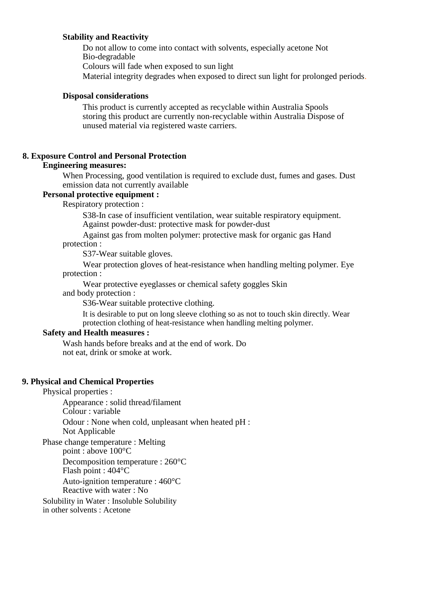## **Stability and Reactivity**

Do not allow to come into contact with solvents, especially acetone Not Bio-degradable Colours will fade when exposed to sun light Material integrity degrades when exposed to direct sun light for prolonged periods.

#### **Disposal considerations**

This product is currently accepted as recyclable within Australia Spools storing this product are currently non-recyclable within Australia Dispose of unused material via registered waste carriers.

## **8. Exposure Control and Personal Protection**

#### **Engineering measures:**

When Processing, good ventilation is required to exclude dust, fumes and gases. Dust emission data not currently available

#### **Personal protective equipment :**

Respiratory protection :

S38-In case of insufficient ventilation, wear suitable respiratory equipment. Against powder-dust: protective mask for powder-dust

Against gas from molten polymer: protective mask for organic gas Hand protection :

S37-Wear suitable gloves.

Wear protection gloves of heat-resistance when handling melting polymer. Eye protection :

Wear protective eyeglasses or chemical safety goggles Skin

and body protection :

S36-Wear suitable protective clothing.

It is desirable to put on long sleeve clothing so as not to touch skin directly. Wear protection clothing of heat-resistance when handling melting polymer.

# **Safety and Health measures :**

Wash hands before breaks and at the end of work. Do not eat, drink or smoke at work.

## **9. Physical and Chemical Properties**

#### Physical properties :

Appearance : solid thread/filament Colour : variable Odour : None when cold, unpleasant when heated pH : Not Applicable

Phase change temperature : Melting point : above 100°C

Decomposition temperature : 260°C

Flash point : 404°C

Auto-ignition temperature : 460°C Reactive with water : No

Solubility in Water : Insoluble Solubility in other solvents : Acetone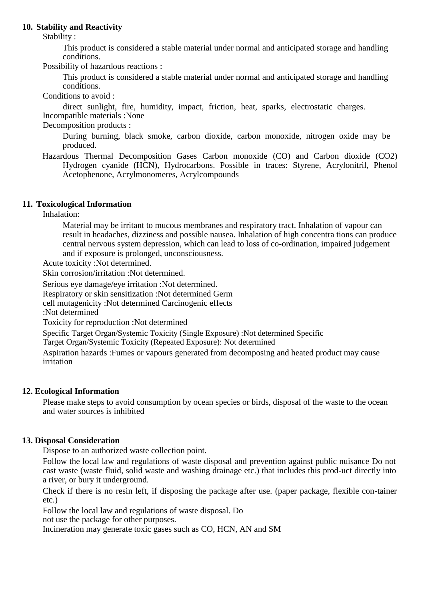### **10. Stability and Reactivity**

Stability :

This product is considered a stable material under normal and anticipated storage and handling conditions.

Possibility of hazardous reactions :

This product is considered a stable material under normal and anticipated storage and handling conditions.

Conditions to avoid :

direct sunlight, fire, humidity, impact, friction, heat, sparks, electrostatic charges. Incompatible materials :None

Decomposition products :

During burning, black smoke, carbon dioxide, carbon monoxide, nitrogen oxide may be produced.

Hazardous Thermal Decomposition Gases Carbon monoxide (CO) and Carbon dioxide (CO2) Hydrogen cyanide (HCN), Hydrocarbons. Possible in traces: Styrene, Acrylonitril, Phenol Acetophenone, Acrylmonomeres, Acrylcompounds

## **11. Toxicological Information**

Inhalation:

Material may be irritant to mucous membranes and respiratory tract. Inhalation of vapour can result in headaches, dizziness and possible nausea. Inhalation of high concentra tions can produce central nervous system depression, which can lead to loss of co-ordination, impaired judgement and if exposure is prolonged, unconsciousness.

Acute toxicity :Not determined.

Skin corrosion/irritation :Not determined.

Serious eye damage/eye irritation :Not determined.

Respiratory or skin sensitization :Not determined Germ

cell mutagenicity :Not determined Carcinogenic effects

:Not determined

Toxicity for reproduction :Not determined

Specific Target Organ/Systemic Toxicity (Single Exposure) :Not determined Specific

Target Organ/Systemic Toxicity (Repeated Exposure): Not determined

Aspiration hazards :Fumes or vapours generated from decomposing and heated product may cause irritation

## **12. Ecological Information**

Please make steps to avoid consumption by ocean species or birds, disposal of the waste to the ocean and water sources is inhibited

## **13. Disposal Consideration**

Dispose to an authorized waste collection point.

Follow the local law and regulations of waste disposal and prevention against public nuisance Do not cast waste (waste fluid, solid waste and washing drainage etc.) that includes this prod-uct directly into a river, or bury it underground.

Check if there is no resin left, if disposing the package after use. (paper package, flexible con-tainer etc.)

Follow the local law and regulations of waste disposal. Do

not use the package for other purposes.

Incineration may generate toxic gases such as CO, HCN, AN and SM